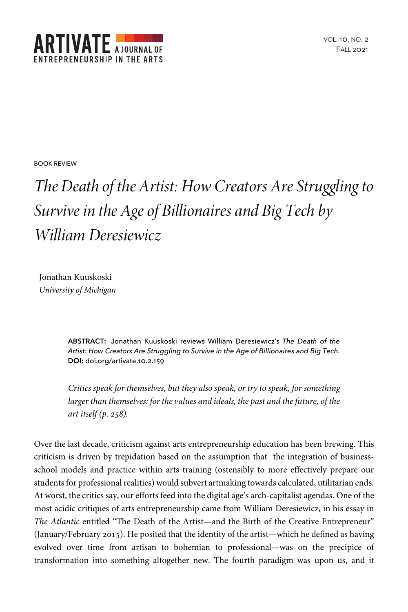

BOOK REVIEW

## *The Death of the Artist: How Creators Are Struggling to Survive in the Age of Billionaires and Big Tech by William Deresiewicz*

Jonathan Kuuskoski *University of Michigan*

> **ABSTRACT:** Jonathan Kuuskoski reviews William Deresiewicz's *The Death of the Artist: How Creators Are Struggling to Survive in the Age of Billionaires and Big Tech.* **DOI:** doi.org/artivate.10.2.159

> *Critics speak for themselves, but they also speak, or try to speak, for something*  larger than themselves: for the values and ideals, the past and the future, of the *art itself (p. 258).*

Over the last decade, criticism against arts entrepreneurship education has been brewing. This criticism is driven by trepidation based on the assumption that the integration of businessschool models and practice within arts training (ostensibly to more effectively prepare our students for professional realities) would subvert artmaking towards calculated, utilitarian ends. At worst, the critics say, our efforts feed into the digital age's arch-capitalist agendas. One of the most acidic critiques of arts entrepreneurship came from William Deresiewicz, in his essay in *The Atlantic* entitled "The Death of the Artist—and the Birth of the Creative Entrepreneur" (January/February 2015). He posited that the identity of the artist—which he defined as having evolved over time from artisan to bohemian to professional—was on the precipice of transformation into something altogether new. The fourth paradigm was upon us, and it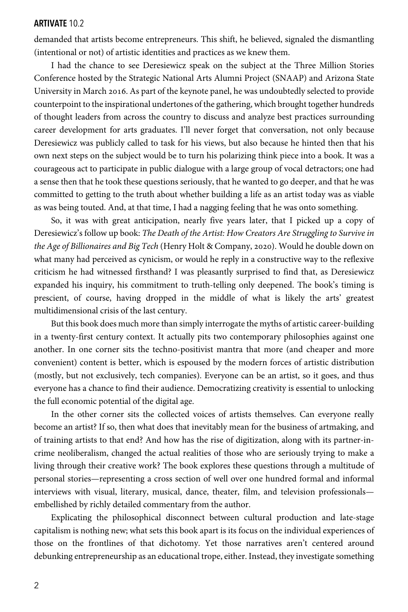## **ARTIVATE** 10.2

demanded that artists become entrepreneurs. This shift, he believed, signaled the dismantling (intentional or not) of artistic identities and practices as we knew them.

I had the chance to see Deresiewicz speak on the subject at the Three Million Stories Conference hosted by the Strategic National Arts Alumni Project (SNAAP) and Arizona State University in March 2016. As part of the keynote panel, he was undoubtedly selected to provide counterpoint to the inspirational undertones of the gathering, which brought together hundreds of thought leaders from across the country to discuss and analyze best practices surrounding career development for arts graduates. I'll never forget that conversation, not only because Deresiewicz was publicly called to task for his views, but also because he hinted then that his own next steps on the subject would be to turn his polarizing think piece into a book. It was a courageous act to participate in public dialogue with a large group of vocal detractors; one had a sense then that he took these questions seriously, that he wanted to go deeper, and that he was committed to getting to the truth about whether building a life as an artist today was as viable as was being touted. And, at that time, I had a nagging feeling that he was onto something.

So, it was with great anticipation, nearly five years later, that I picked up a copy of Deresiewicz's follow up book: *The Death of the Artist: How Creators Are Struggling to Survive in the Age of Billionaires and Big Tech* (Henry Holt & Company, ). Would he double down on what many had perceived as cynicism, or would he reply in a constructive way to the reflexive criticism he had witnessed firsthand? I was pleasantly surprised to find that, as Deresiewicz expanded his inquiry, his commitment to truth-telling only deepened. The book's timing is prescient, of course, having dropped in the middle of what is likely the arts' greatest multidimensional crisis of the last century.

But this book does much more than simply interrogate the myths of artistic career-building in a twenty-first century context. It actually pits two contemporary philosophies against one another. In one corner sits the techno-positivist mantra that more (and cheaper and more convenient) content is better, which is espoused by the modern forces of artistic distribution (mostly, but not exclusively, tech companies). Everyone can be an artist, so it goes, and thus everyone has a chance to find their audience. Democratizing creativity is essential to unlocking the full economic potential of the digital age.

In the other corner sits the collected voices of artists themselves. Can everyone really become an artist? If so, then what does that inevitably mean for the business of artmaking, and of training artists to that end? And how has the rise of digitization, along with its partner-incrime neoliberalism, changed the actual realities of those who are seriously trying to make a living through their creative work? The book explores these questions through a multitude of personal stories—representing a cross section of well over one hundred formal and informal interviews with visual, literary, musical, dance, theater, film, and television professionals embellished by richly detailed commentary from the author.

Explicating the philosophical disconnect between cultural production and late-stage capitalism is nothing new; what sets this book apart is its focus on the individual experiences of those on the frontlines of that dichotomy. Yet those narratives aren't centered around debunking entrepreneurship as an educational trope, either. Instead, they investigate something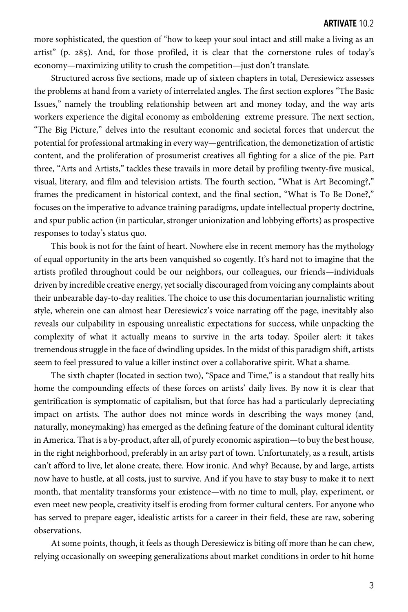more sophisticated, the question of "how to keep your soul intact and still make a living as an artist" (p. 285). And, for those profiled, it is clear that the cornerstone rules of today's economy—maximizing utility to crush the competition—just don't translate.

Structured across five sections, made up of sixteen chapters in total, Deresiewicz assesses the problems at hand from a variety of interrelated angles. The first section explores "The Basic Issues," namely the troubling relationship between art and money today, and the way arts workers experience the digital economy as emboldening extreme pressure. The next section, "The Big Picture," delves into the resultant economic and societal forces that undercut the potential for professional artmaking in every way—gentrification, the demonetization of artistic content, and the proliferation of prosumerist creatives all fighting for a slice of the pie. Part three, "Arts and Artists," tackles these travails in more detail by profiling twenty-five musical, visual, literary, and film and television artists. The fourth section, "What is Art Becoming?," frames the predicament in historical context, and the final section, "What is To Be Done?," focuses on the imperative to advance training paradigms, update intellectual property doctrine, and spur public action (in particular, stronger unionization and lobbying efforts) as prospective responses to today's status quo.

This book is not for the faint of heart. Nowhere else in recent memory has the mythology of equal opportunity in the arts been vanquished so cogently. It's hard not to imagine that the artists profiled throughout could be our neighbors, our colleagues, our friends—individuals driven by incredible creative energy, yet socially discouraged from voicing any complaints about their unbearable day-to-day realities. The choice to use this documentarian journalistic writing style, wherein one can almost hear Deresiewicz's voice narrating off the page, inevitably also reveals our culpability in espousing unrealistic expectations for success, while unpacking the complexity of what it actually means to survive in the arts today. Spoiler alert: it takes tremendous struggle in the face of dwindling upsides. In the midst of this paradigm shift, artists seem to feel pressured to value a killer instinct over a collaborative spirit. What a shame.

The sixth chapter (located in section two), "Space and Time," is a standout that really hits home the compounding effects of these forces on artists' daily lives. By now it is clear that gentrification is symptomatic of capitalism, but that force has had a particularly depreciating impact on artists. The author does not mince words in describing the ways money (and, naturally, moneymaking) has emerged as the defining feature of the dominant cultural identity in America. That is a by-product, after all, of purely economic aspiration—to buy the best house, in the right neighborhood, preferably in an artsy part of town. Unfortunately, as a result, artists can't afford to live, let alone create, there. How ironic. And why? Because, by and large, artists now have to hustle, at all costs, just to survive. And if you have to stay busy to make it to next month, that mentality transforms your existence—with no time to mull, play, experiment, or even meet new people, creativity itself is eroding from former cultural centers. For anyone who has served to prepare eager, idealistic artists for a career in their field, these are raw, sobering observations.

At some points, though, it feels as though Deresiewicz is biting off more than he can chew, relying occasionally on sweeping generalizations about market conditions in order to hit home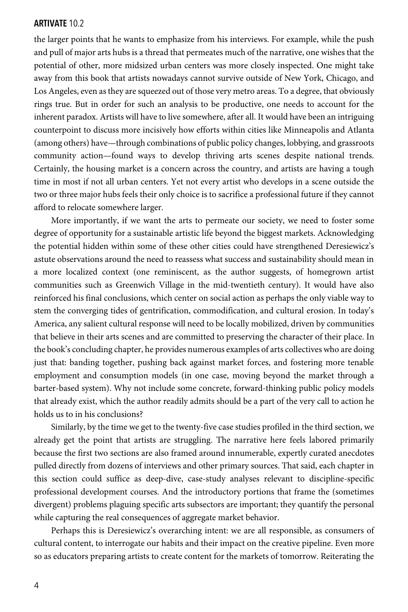## **ARTIVATE** 10.2

the larger points that he wants to emphasize from his interviews. For example, while the push and pull of major arts hubs is a thread that permeates much of the narrative, one wishes that the potential of other, more midsized urban centers was more closely inspected. One might take away from this book that artists nowadays cannot survive outside of New York, Chicago, and Los Angeles, even as they are squeezed out of those very metro areas. To a degree, that obviously rings true. But in order for such an analysis to be productive, one needs to account for the inherent paradox. Artists will have to live somewhere, after all. It would have been an intriguing counterpoint to discuss more incisively how efforts within cities like Minneapolis and Atlanta (among others) have—through combinations of public policy changes, lobbying, and grassroots community action—found ways to develop thriving arts scenes despite national trends. Certainly, the housing market is a concern across the country, and artists are having a tough time in most if not all urban centers. Yet not every artist who develops in a scene outside the two or three major hubs feels their only choice is to sacrifice a professional future if they cannot afford to relocate somewhere larger.

More importantly, if we want the arts to permeate our society, we need to foster some degree of opportunity for a sustainable artistic life beyond the biggest markets. Acknowledging the potential hidden within some of these other cities could have strengthened Deresiewicz's astute observations around the need to reassess what success and sustainability should mean in a more localized context (one reminiscent, as the author suggests, of homegrown artist communities such as Greenwich Village in the mid-twentieth century). It would have also reinforced his final conclusions, which center on social action as perhaps the only viable way to stem the converging tides of gentrification, commodification, and cultural erosion. In today's America, any salient cultural response will need to be locally mobilized, driven by communities that believe in their arts scenes and are committed to preserving the character of their place. In the book's concluding chapter, he provides numerous examples of arts collectives who are doing just that: banding together, pushing back against market forces, and fostering more tenable employment and consumption models (in one case, moving beyond the market through a barter-based system). Why not include some concrete, forward-thinking public policy models that already exist, which the author readily admits should be a part of the very call to action he holds us to in his conclusions?

Similarly, by the time we get to the twenty-five case studies profiled in the third section, we already get the point that artists are struggling. The narrative here feels labored primarily because the first two sections are also framed around innumerable, expertly curated anecdotes pulled directly from dozens of interviews and other primary sources. That said, each chapter in this section could suffice as deep-dive, case-study analyses relevant to discipline-specific professional development courses. And the introductory portions that frame the (sometimes divergent) problems plaguing specific arts subsectors are important; they quantify the personal while capturing the real consequences of aggregate market behavior.

Perhaps this is Deresiewicz's overarching intent: we are all responsible, as consumers of cultural content, to interrogate our habits and their impact on the creative pipeline. Even more so as educators preparing artists to create content for the markets of tomorrow. Reiterating the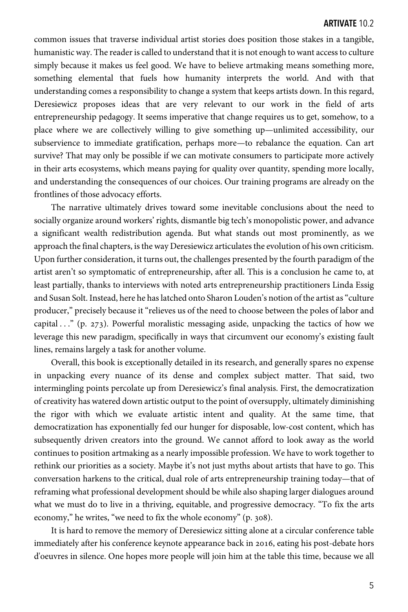common issues that traverse individual artist stories does position those stakes in a tangible, humanistic way. The reader is called to understand that it is not enough to want access to culture simply because it makes us feel good. We have to believe artmaking means something more, something elemental that fuels how humanity interprets the world. And with that understanding comes a responsibility to change a system that keeps artists down. In this regard, Deresiewicz proposes ideas that are very relevant to our work in the field of arts entrepreneurship pedagogy. It seems imperative that change requires us to get, somehow, to a place where we are collectively willing to give something up—unlimited accessibility, our subservience to immediate gratification, perhaps more—to rebalance the equation. Can art survive? That may only be possible if we can motivate consumers to participate more actively in their arts ecosystems, which means paying for quality over quantity, spending more locally, and understanding the consequences of our choices. Our training programs are already on the frontlines of those advocacy efforts.

The narrative ultimately drives toward some inevitable conclusions about the need to socially organize around workers' rights, dismantle big tech's monopolistic power, and advance a significant wealth redistribution agenda. But what stands out most prominently, as we approach the final chapters, is the way Deresiewicz articulates the evolution of his own criticism. Upon further consideration, it turns out, the challenges presented by the fourth paradigm of the artist aren't so symptomatic of entrepreneurship, after all. This is a conclusion he came to, at least partially, thanks to interviews with noted arts entrepreneurship practitioners Linda Essig and Susan Solt. Instead, here he has latched onto Sharon Louden's notion of the artist as "culture producer," precisely because it "relieves us of the need to choose between the poles of labor and capital  $\ldots$ " (p. 273). Powerful moralistic messaging aside, unpacking the tactics of how we leverage this new paradigm, specifically in ways that circumvent our economy's existing fault lines, remains largely a task for another volume.

Overall, this book is exceptionally detailed in its research, and generally spares no expense in unpacking every nuance of its dense and complex subject matter. That said, two intermingling points percolate up from Deresiewicz's final analysis. First, the democratization of creativity has watered down artistic output to the point of oversupply, ultimately diminishing the rigor with which we evaluate artistic intent and quality. At the same time, that democratization has exponentially fed our hunger for disposable, low-cost content, which has subsequently driven creators into the ground. We cannot afford to look away as the world continues to position artmaking as a nearly impossible profession. We have to work together to rethink our priorities as a society. Maybe it's not just myths about artists that have to go. This conversation harkens to the critical, dual role of arts entrepreneurship training today—that of reframing what professional development should be while also shaping larger dialogues around what we must do to live in a thriving, equitable, and progressive democracy. "To fix the arts economy," he writes, "we need to fix the whole economy" (p. 308).

It is hard to remove the memory of Deresiewicz sitting alone at a circular conference table immediately after his conference keynote appearance back in 2016, eating his post-debate hors d'oeuvres in silence. One hopes more people will join him at the table this time, because we all